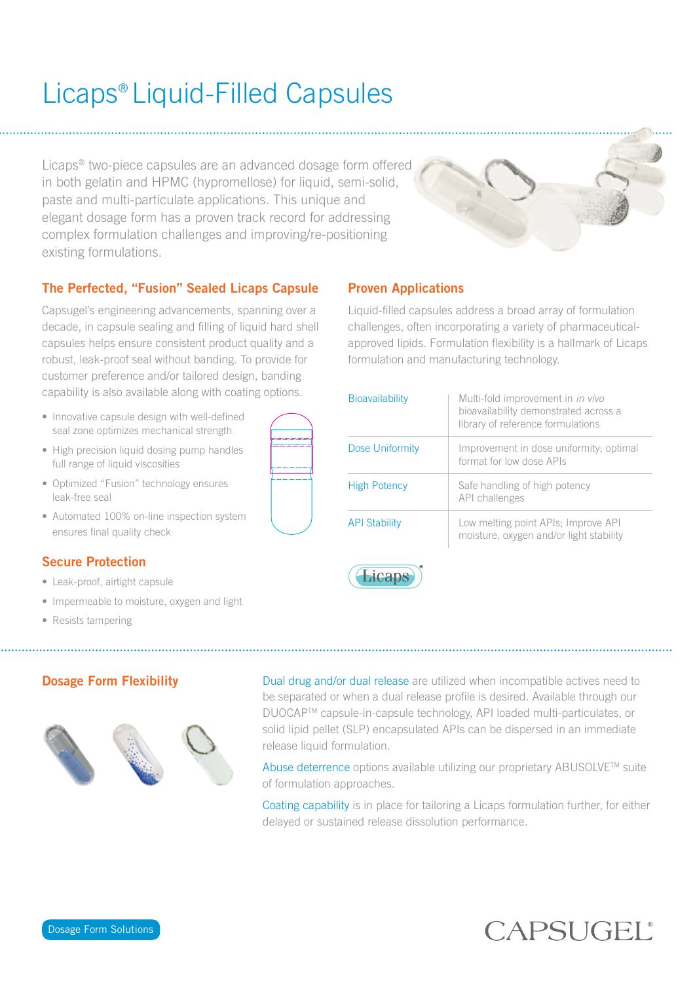# Licaps® Liquid-Filled Capsules

Licaps® two-piece capsules are an advanced dosage form offered in both gelatin and HPMC (hypromellose) for liquid, semi-solid, paste and multi-particulate applications. This unique and elegant dosage form has a proven track record for addressing complex formulation challenges and improving/re-positioning existing formulations.



### The Perfected, "Fusion" Sealed Licaps Capsule

Capsugel's engineering advancements, spanning over a decade, in capsule sealing and filling of liquid hard shell capsules helps ensure consistent product quality and a robust, leak-proof seal without banding. To provide for customer preference and/or tailored design, banding capability is also available along with coating options.

- Innovative capsule design with well-defined seal zone optimizes mechanical strength
- High precision liquid dosing pump handles full range of liquid viscosities
- Optimized "Fusion" technology ensures leak-free seal
- Automated 100% on-line inspection system ensures final quality check

### Secure Protection

- Leak-proof, airtight capsule
- Impermeable to moisture, oxygen and light
- Resists tampering



### Proven Applications

Liquid-filled capsules address a broad array of formulation challenges, often incorporating a variety of pharmaceuticalapproved lipids. Formulation flexibility is a hallmark of Licaps formulation and manufacturing technology.

| <b>Bioavailability</b> | Multi-fold improvement in <i>in vivo</i><br>bioavailability demonstrated across a<br>library of reference formulations |
|------------------------|------------------------------------------------------------------------------------------------------------------------|
| Dose Uniformity        | Improvement in dose uniformity; optimal<br>format for low dose APIs                                                    |
| <b>High Potency</b>    | Safe handling of high potency<br>API challenges                                                                        |
| <b>API Stability</b>   | Low melting point APIs; Improve API<br>moisture, oxygen and/or light stability                                         |



### Dosage Form Flexibility



Dual drug and/or dual release are utilized when incompatible actives need to be separated or when a dual release profile is desired. Available through our DUOCAPTM capsule-in-capsule technology, API loaded multi-particulates, or solid lipid pellet (SLP) encapsulated APIs can be dispersed in an immediate release liquid formulation.

Abuse deterrence options available utilizing our proprietary ABUSOLVE™ suite of formulation approaches.

Coating capability is in place for tailoring a Licaps formulation further, for either delayed or sustained release dissolution performance.

## CAPSUGEL®